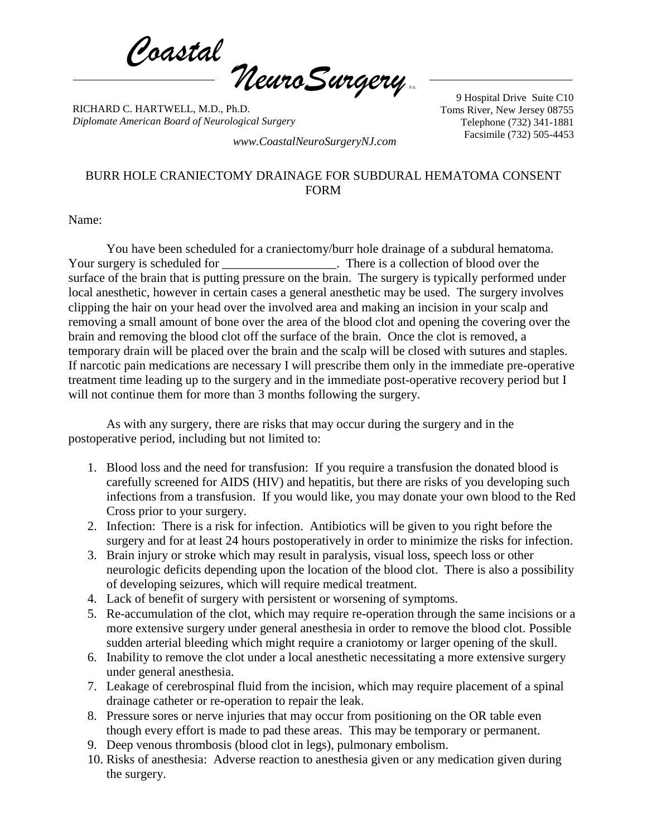*Coastal NeuroSurgery* P.A.

RICHARD C. HARTWELL, M.D., Ph.D. *Diplomate American Board of Neurological Surgery*

9 Hospital Drive Suite C10 Toms River, New Jersey 08755 Telephone (732) 341-1881

Facsimile (732) 505-4453 *www.CoastalNeuroSurgeryNJ.com*

## BURR HOLE CRANIECTOMY DRAINAGE FOR SUBDURAL HEMATOMA CONSENT FORM

Name:

You have been scheduled for a craniectomy/burr hole drainage of a subdural hematoma. Your surgery is scheduled for **No. 2008**. There is a collection of blood over the surface of the brain that is putting pressure on the brain. The surgery is typically performed under local anesthetic, however in certain cases a general anesthetic may be used. The surgery involves clipping the hair on your head over the involved area and making an incision in your scalp and removing a small amount of bone over the area of the blood clot and opening the covering over the brain and removing the blood clot off the surface of the brain. Once the clot is removed, a temporary drain will be placed over the brain and the scalp will be closed with sutures and staples. If narcotic pain medications are necessary I will prescribe them only in the immediate pre-operative treatment time leading up to the surgery and in the immediate post-operative recovery period but I will not continue them for more than 3 months following the surgery.

As with any surgery, there are risks that may occur during the surgery and in the postoperative period, including but not limited to:

- 1. Blood loss and the need for transfusion: If you require a transfusion the donated blood is carefully screened for AIDS (HIV) and hepatitis, but there are risks of you developing such infections from a transfusion. If you would like, you may donate your own blood to the Red Cross prior to your surgery.
- 2. Infection: There is a risk for infection. Antibiotics will be given to you right before the surgery and for at least 24 hours postoperatively in order to minimize the risks for infection.
- 3. Brain injury or stroke which may result in paralysis, visual loss, speech loss or other neurologic deficits depending upon the location of the blood clot. There is also a possibility of developing seizures, which will require medical treatment.
- 4. Lack of benefit of surgery with persistent or worsening of symptoms.
- 5. Re-accumulation of the clot, which may require re-operation through the same incisions or a more extensive surgery under general anesthesia in order to remove the blood clot. Possible sudden arterial bleeding which might require a craniotomy or larger opening of the skull.
- 6. Inability to remove the clot under a local anesthetic necessitating a more extensive surgery under general anesthesia.
- 7. Leakage of cerebrospinal fluid from the incision, which may require placement of a spinal drainage catheter or re-operation to repair the leak.
- 8. Pressure sores or nerve injuries that may occur from positioning on the OR table even though every effort is made to pad these areas. This may be temporary or permanent.
- 9. Deep venous thrombosis (blood clot in legs), pulmonary embolism.
- 10. Risks of anesthesia: Adverse reaction to anesthesia given or any medication given during the surgery.